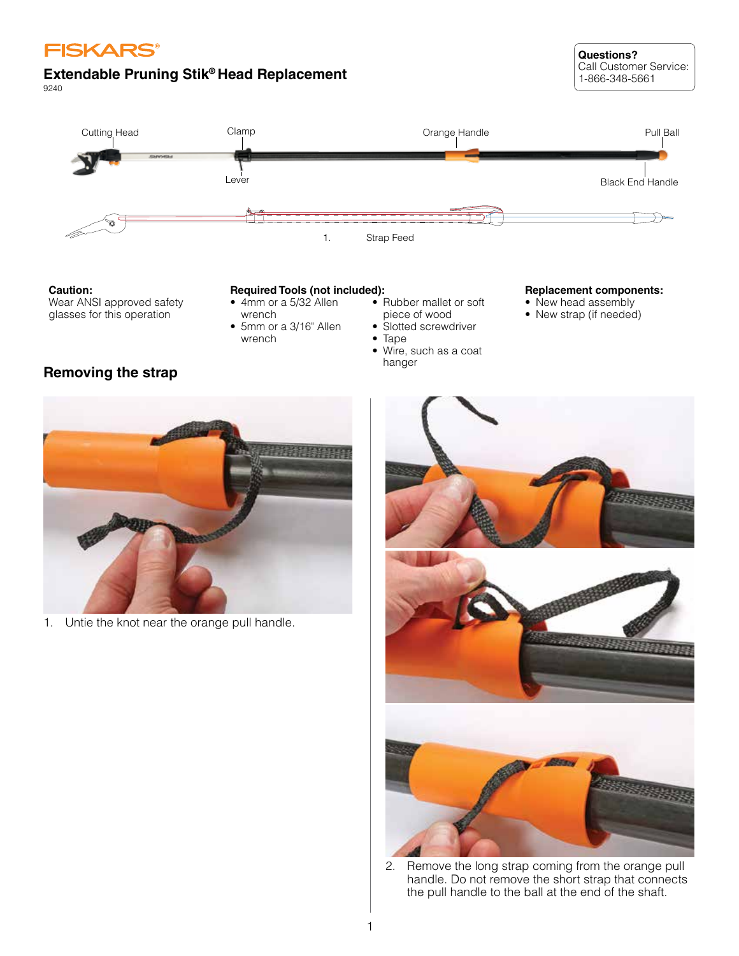

# **Extendable Pruning Stik® Head Replacement**

9240



**Caution:** Wear ANSI approved safety glasses for this operation

# **Required Tools (not included):**

- 4mm or a 5/32 Allen wrench
- 5mm or a 3/16" Allen wrench
- Rubber mallet or soft piece of wood
- Slotted screwdriver
- Tape<br>• Wire
- Wire, such as a coat hanger

#### **Replacement components:**

**Questions?**

Call Customer Service: 1-866-348-5661

- New head assembly
- New strap (if needed)

# **Removing the strap**



1. Untie the knot near the orange pull handle.



2. Remove the long strap coming from the orange pull handle. Do not remove the short strap that connects the pull handle to the ball at the end of the shaft.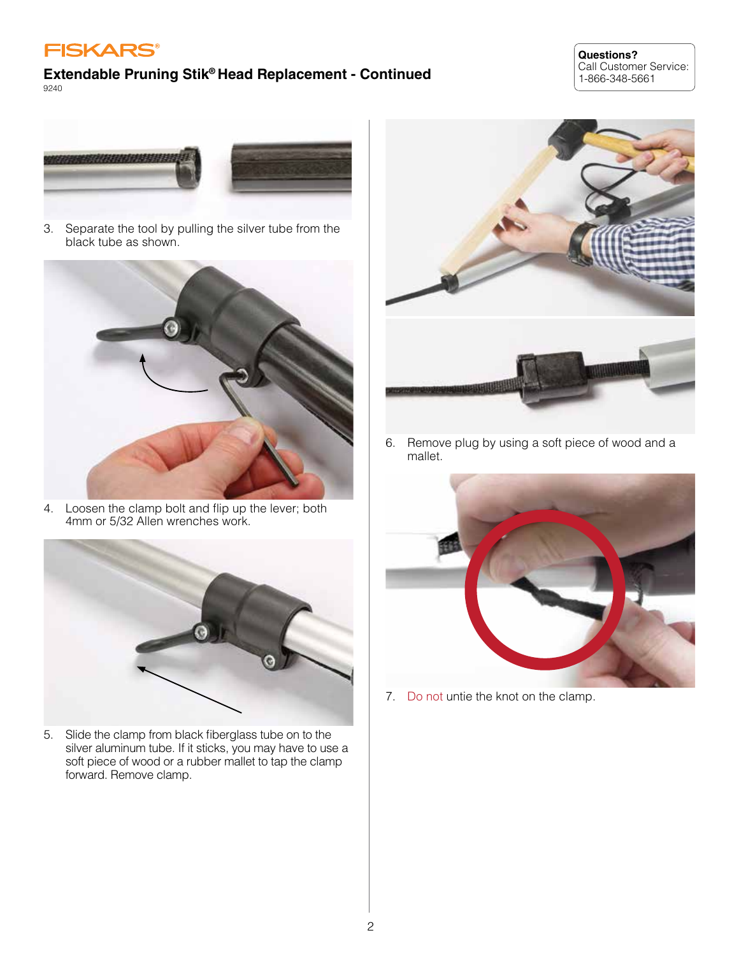

#### **Questions?** Call Customer Service: 1-866-348-5661



3. Separate the tool by pulling the silver tube from the black tube as shown.



4. Loosen the clamp bolt and flip up the lever; both 4mm or 5/32 Allen wrenches work.



5. Slide the clamp from black fiberglass tube on to the silver aluminum tube. If it sticks, you may have to use a soft piece of wood or a rubber mallet to tap the clamp forward. Remove clamp.



6. Remove plug by using a soft piece of wood and a mallet.



7. Do not untie the knot on the clamp.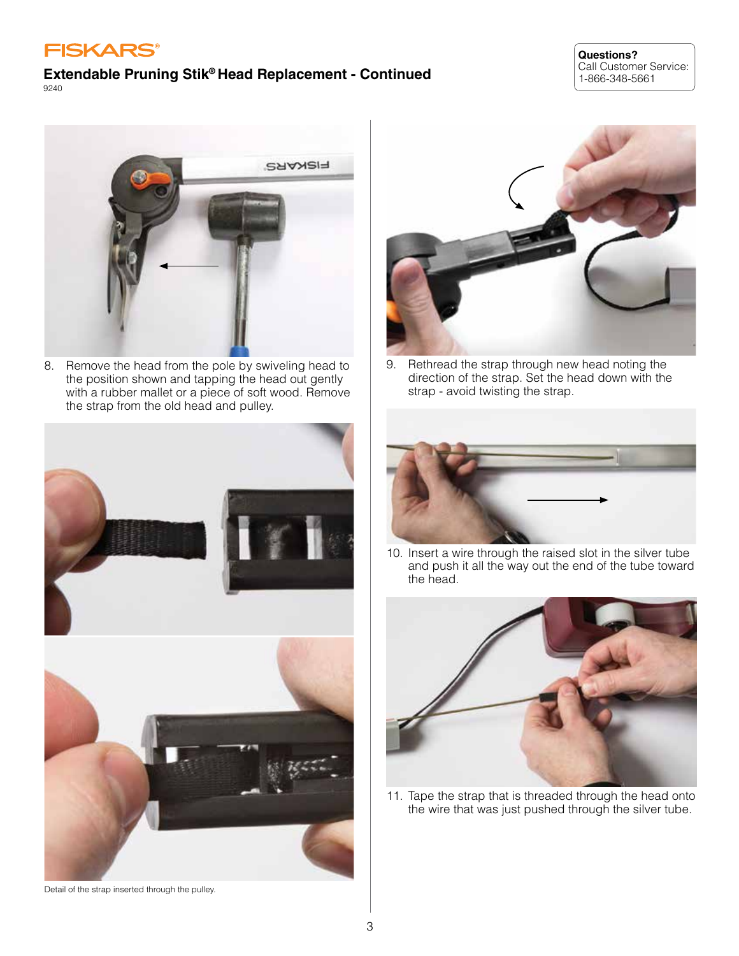# **FISKARS®**

#### **Extendable Pruning Stik® Head Replacement - Continued** 9240

#### **Questions?** Call Customer Service: 1-866-348-5661



8. Remove the head from the pole by swiveling head to the position shown and tapping the head out gently with a rubber mallet or a piece of soft wood. Remove the strap from the old head and pulley.









9. Rethread the strap through new head noting the direction of the strap. Set the head down with the strap - avoid twisting the strap.



10. Insert a wire through the raised slot in the silver tube and push it all the way out the end of the tube toward the head.



11. Tape the strap that is threaded through the head onto the wire that was just pushed through the silver tube.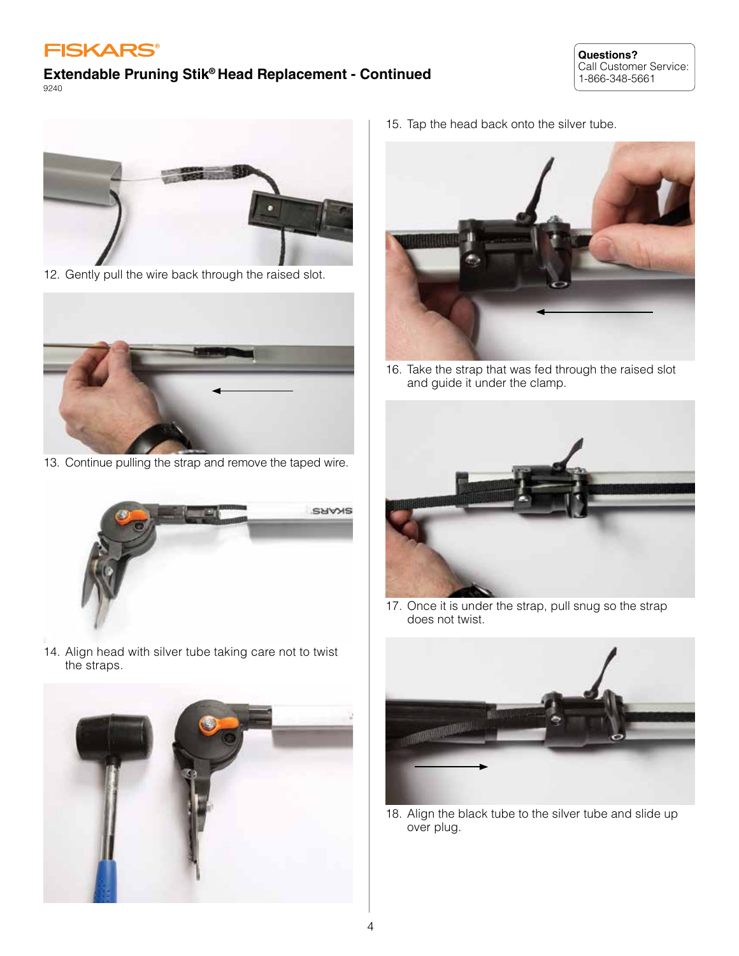





12. Gently pull the wire back through the raised slot.



13. Continue pulling the strap and remove the taped wire.



14. Align head with silver tube taking care not to twist the straps.



15. Tap the head back onto the silver tube.



16. Take the strap that was fed through the raised slot and guide it under the clamp.



17. Once it is under the strap, pull snug so the strap does not twist.



18. Align the black tube to the silver tube and slide up over plug.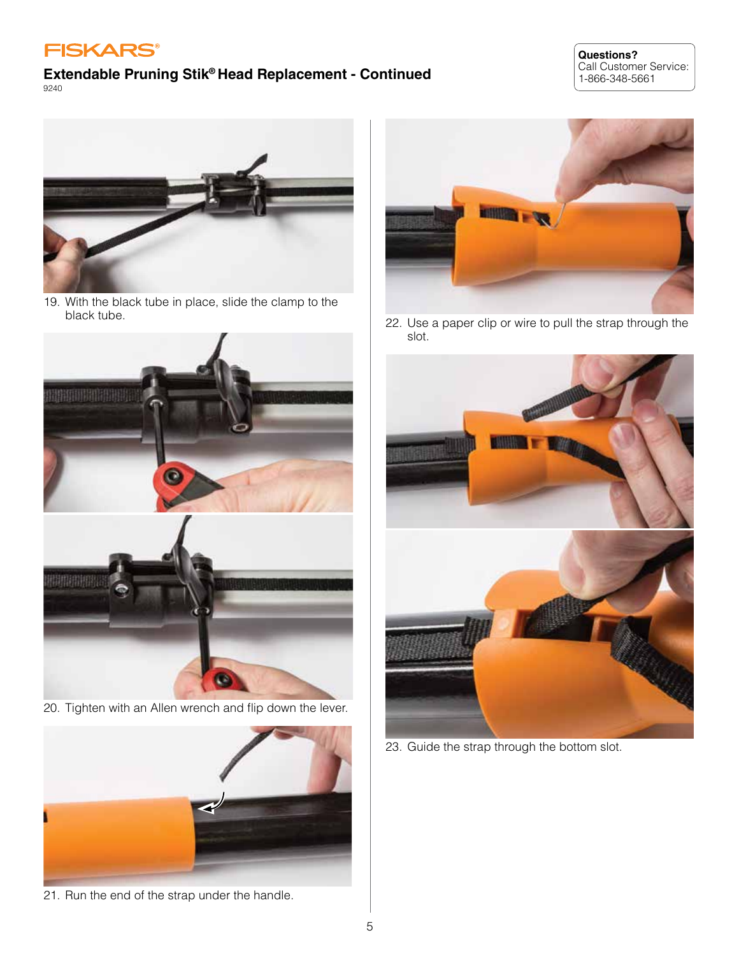

#### **Questions?** Call Customer Service: 1-866-348-5661



19. With the black tube in place, slide the clamp to the black tube.



20. Tighten with an Allen wrench and flip down the lever.



21. Run the end of the strap under the handle.



22. Use a paper clip or wire to pull the strap through the slot.



23. Guide the strap through the bottom slot.